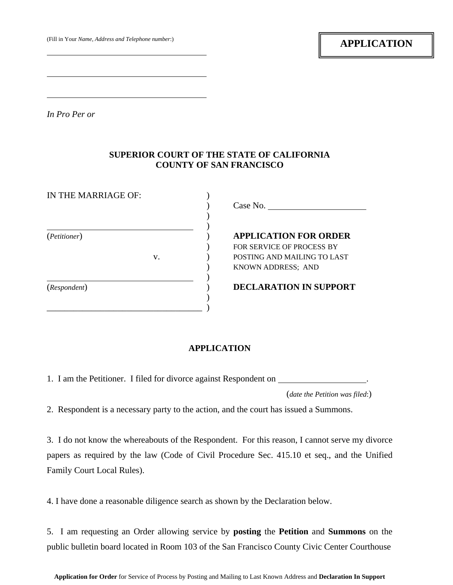*In Pro Per or* 

 $\overline{a}$ 

 $\overline{a}$ 

 $\overline{a}$ 

## **SUPERIOR COURT OF THE STATE OF CALIFORNIA COUNTY OF SAN FRANCISCO**

| IN THE MARRIAGE OF: |    | Case No.                                                                                                              |  |  |  |  |  |
|---------------------|----|-----------------------------------------------------------------------------------------------------------------------|--|--|--|--|--|
| (Petitioner)        | V. | <b>APPLICATION FOR ORDER</b><br>FOR SERVICE OF PROCESS BY<br>POSTING AND MAILING TO LAST<br><b>KNOWN ADDRESS: AND</b> |  |  |  |  |  |
| (Respondent)        |    | <b>DECLARATION IN SUPPORT</b>                                                                                         |  |  |  |  |  |

## **APPLICATION**

1. I am the Petitioner. I filed for divorce against Respondent on .

(*date the Petition was filed*:)

2. Respondent is a necessary party to the action, and the court has issued a Summons.

3. I do not know the whereabouts of the Respondent. For this reason, I cannot serve my divorce papers as required by the law (Code of Civil Procedure Sec. 415.10 et seq., and the Unified Family Court Local Rules).

4. I have done a reasonable diligence search as shown by the Declaration below.

5. I am requesting an Order allowing service by **posting** the **Petition** and **Summons** on the public bulletin board located in Room 103 of the San Francisco County Civic Center Courthouse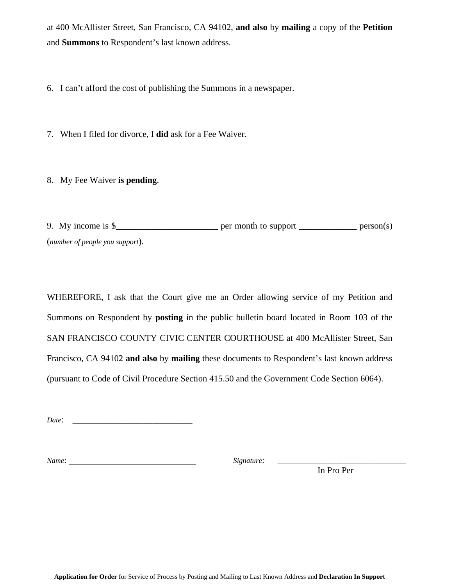at 400 McAllister Street, San Francisco, CA 94102, **and also** by **mailing** a copy of the **Petition** and **Summons** to Respondent's last known address.

6. I can't afford the cost of publishing the Summons in a newspaper.

7. When I filed for divorce, I **did** ask for a Fee Waiver.

8. My Fee Waiver **is pending**.

9. My income is  $\frac{1}{2}$  per month to support \_\_\_\_\_\_\_\_\_\_\_\_\_\_\_\_\_\_\_ person(s) (*number of people you support*).

WHEREFORE, I ask that the Court give me an Order allowing service of my Petition and Summons on Respondent by **posting** in the public bulletin board located in Room 103 of the SAN FRANCISCO COUNTY CIVIC CENTER COURTHOUSE at 400 McAllister Street, San Francisco, CA 94102 **and also** by **mailing** these documents to Respondent's last known address (pursuant to Code of Civil Procedure Section 415.50 and the Government Code Section 6064).

*Date*: \_\_\_\_\_\_\_\_\_\_\_\_\_\_\_\_\_\_\_\_\_\_\_\_\_\_\_

*Name*: *Signature:* \_\_\_\_\_\_\_\_\_\_\_\_\_\_\_\_\_\_\_\_\_\_\_\_\_\_\_\_\_

In Pro Per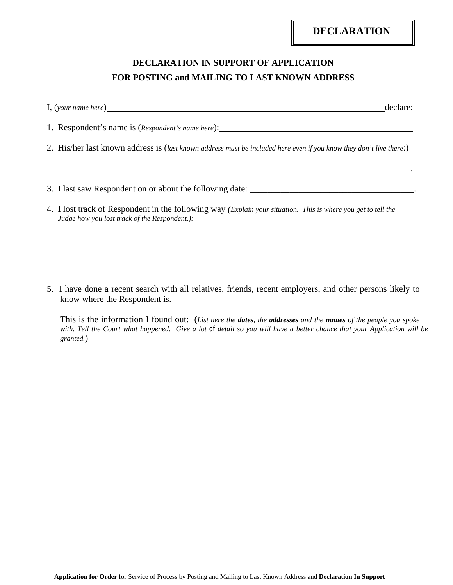## **DECLARATION IN SUPPORT OF APPLICATION FOR POSTING and MAILING TO LAST KNOWN ADDRESS**

1. Respondent's name is (*Respondent's name here*):

2. His/her last known address is (*last known address must be included here even if you know they don't live there*:)

\_\_\_\_\_\_\_\_\_\_\_\_\_\_\_\_\_\_\_\_\_\_\_\_\_\_\_\_\_\_\_\_\_\_\_\_\_\_\_\_\_\_\_\_\_\_\_\_\_\_\_\_\_\_\_\_\_\_\_\_\_\_\_\_\_\_\_\_\_\_\_\_\_\_\_\_\_\_\_\_\_\_.

- 3. I last saw Respondent on or about the following date: \_\_\_\_\_\_\_\_\_\_\_\_\_\_\_\_\_\_\_\_\_\_\_\_\_\_\_\_\_\_\_\_\_\_\_\_\_.
- 4. I lost track of Respondent in the following way *(Explain your situation. This is where you get to tell the Judge how you lost track of the Respondent.):*

5. I have done a recent search with all relatives, friends, recent employers, and other persons likely to know where the Respondent is.

 This is the information I found out: (*List here the dates, the addresses and the names of the people you spoke with. Tell the Court what happened. Give a lot of detail so you will have a better chance that your Application will be granted.*)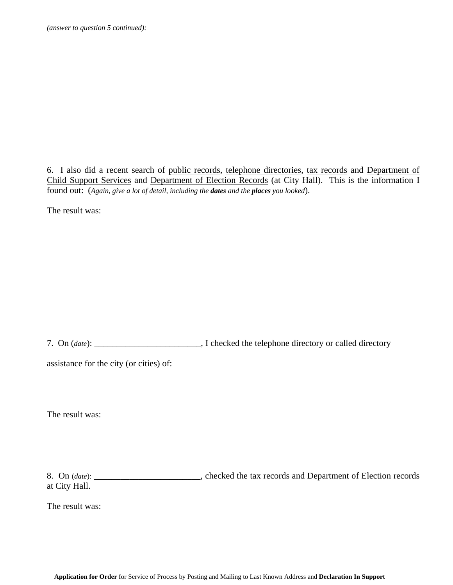6. I also did a recent search of public records, telephone directories, tax records and Department of Child Support Services and Department of Election Records (at City Hall). This is the information I found out: (*Again, give a lot of detail, including the dates and the places you looked*).

The result was:

7. On (*date*): \_\_\_\_\_\_\_\_\_\_\_\_\_\_\_\_\_\_\_\_\_\_\_\_, I checked the telephone directory or called directory

assistance for the city (or cities) of:

The result was:

8. On (*date*): \_\_\_\_\_\_\_\_\_\_\_\_\_\_\_\_\_\_\_\_\_\_\_\_, checked the tax records and Department of Election records at City Hall.

The result was: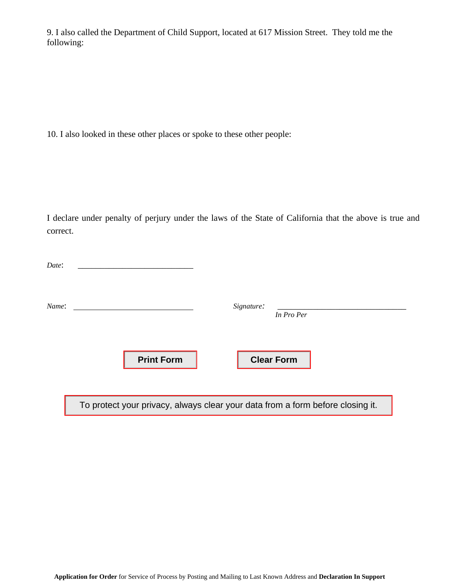9. I also called the Department of Child Support, located at 617 Mission Street. They told me the following:

10. I also looked in these other places or spoke to these other people:

I declare under penalty of perjury under the laws of the State of California that the above is true and correct.

| Date: |                   |                                                                                |  |
|-------|-------------------|--------------------------------------------------------------------------------|--|
| Name: |                   | Signature:<br>In Pro Per                                                       |  |
|       | <b>Print Form</b> | <b>Clear Form</b>                                                              |  |
|       |                   | To protect your privacy, always clear your data from a form before closing it. |  |